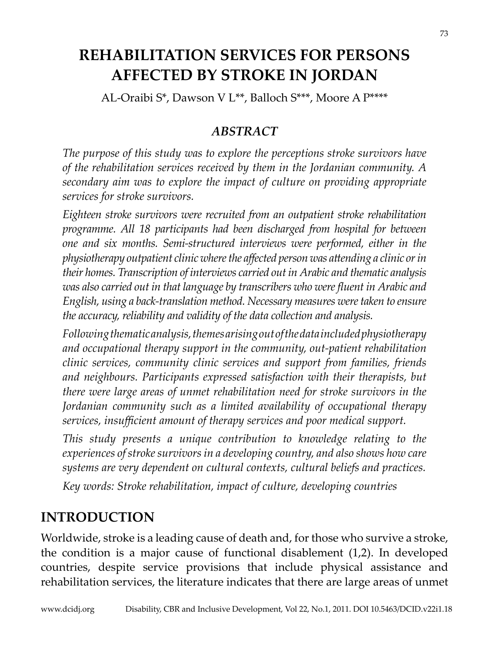# **REHABILITATION SERVICES FOR PERSONS AFFECTED BY STROKE IN JORDAN**

AL-Oraibi S\*, Dawson V L\*\*, Balloch S\*\*\*, Moore A P\*\*\*\*

#### *ABSTRACT*

*The purpose of this study was to explore the perceptions stroke survivors have of the rehabilitation services received by them in the Jordanian community. A secondary aim was to explore the impact of culture on providing appropriate services for stroke survivors.*

*Eighteen stroke survivors were recruited from an outpatient stroke rehabilitation programme. All 18 participants had been discharged from hospital for between one and six months. Semi-structured interviews were performed, either in the physiotherapy outpatient clinic where the affected person was attending a clinic or in their homes. Transcription of interviews carried out in Arabic and thematic analysis was also carried out in that language by transcribers who were fluent in Arabic and English, using a back-translation method. Necessary measures were taken to ensure the accuracy, reliability and validity of the data collection and analysis.*

*Following thematic analysis, themes arising out of the data included physiotherapy and occupational therapy support in the community, out-patient rehabilitation clinic services, community clinic services and support from families, friends and neighbours. Participants expressed satisfaction with their therapists, but there were large areas of unmet rehabilitation need for stroke survivors in the Jordanian community such as a limited availability of occupational therapy services, insufficient amount of therapy services and poor medical support.* 

*This study presents a unique contribution to knowledge relating to the experiences of stroke survivors in a developing country, and also shows how care systems are very dependent on cultural contexts, cultural beliefs and practices.* 

*Key words: Stroke rehabilitation, impact of culture, developing countries*

## **INTRODUCTION**

Worldwide, stroke is a leading cause of death and, for those who survive a stroke, the condition is a major cause of functional disablement (1,2). In developed countries, despite service provisions that include physical assistance and rehabilitation services, the literature indicates that there are large areas of unmet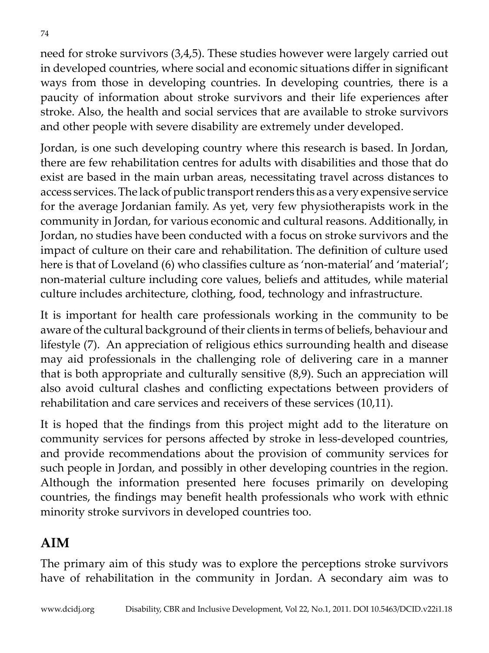need for stroke survivors (3,4,5). These studies however were largely carried out in developed countries, where social and economic situations differ in significant ways from those in developing countries. In developing countries, there is a paucity of information about stroke survivors and their life experiences after stroke. Also, the health and social services that are available to stroke survivors and other people with severe disability are extremely under developed.

Jordan, is one such developing country where this research is based. In Jordan, there are few rehabilitation centres for adults with disabilities and those that do exist are based in the main urban areas, necessitating travel across distances to access services. The lack of public transport renders this as a very expensive service for the average Jordanian family. As yet, very few physiotherapists work in the community in Jordan, for various economic and cultural reasons. Additionally, in Jordan, no studies have been conducted with a focus on stroke survivors and the impact of culture on their care and rehabilitation. The definition of culture used here is that of Loveland (6) who classifies culture as 'non-material' and 'material'; non-material culture including core values, beliefs and attitudes, while material culture includes architecture, clothing, food, technology and infrastructure.

It is important for health care professionals working in the community to be aware of the cultural background of their clients in terms of beliefs, behaviour and lifestyle (7). An appreciation of religious ethics surrounding health and disease may aid professionals in the challenging role of delivering care in a manner that is both appropriate and culturally sensitive (8,9). Such an appreciation will also avoid cultural clashes and conflicting expectations between providers of rehabilitation and care services and receivers of these services (10,11).

It is hoped that the findings from this project might add to the literature on community services for persons affected by stroke in less-developed countries, and provide recommendations about the provision of community services for such people in Jordan, and possibly in other developing countries in the region. Although the information presented here focuses primarily on developing countries, the findings may benefit health professionals who work with ethnic minority stroke survivors in developed countries too.

## **AIM**

The primary aim of this study was to explore the perceptions stroke survivors have of rehabilitation in the community in Jordan. A secondary aim was to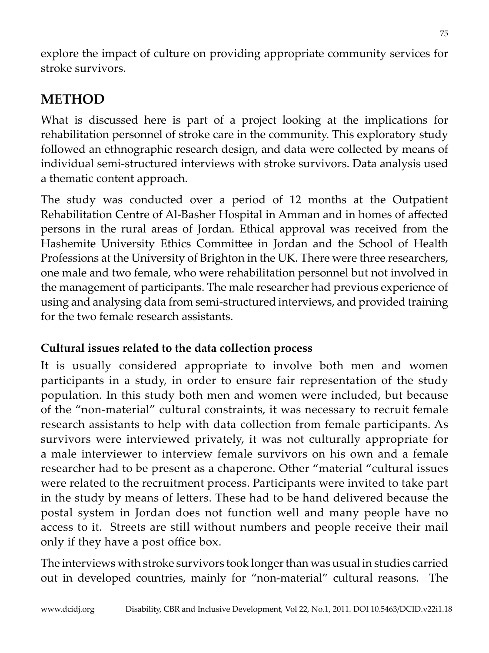explore the impact of culture on providing appropriate community services for stroke survivors.

# **METHOD**

What is discussed here is part of a project looking at the implications for rehabilitation personnel of stroke care in the community. This exploratory study followed an ethnographic research design, and data were collected by means of individual semi-structured interviews with stroke survivors. Data analysis used a thematic content approach.

The study was conducted over a period of 12 months at the Outpatient Rehabilitation Centre of Al-Basher Hospital in Amman and in homes of affected persons in the rural areas of Jordan. Ethical approval was received from the Hashemite University Ethics Committee in Jordan and the School of Health Professions at the University of Brighton in the UK. There were three researchers, one male and two female, who were rehabilitation personnel but not involved in the management of participants. The male researcher had previous experience of using and analysing data from semi-structured interviews, and provided training for the two female research assistants.

## **Cultural issues related to the data collection process**

It is usually considered appropriate to involve both men and women participants in a study, in order to ensure fair representation of the study population. In this study both men and women were included, but because of the "non-material" cultural constraints, it was necessary to recruit female research assistants to help with data collection from female participants. As survivors were interviewed privately, it was not culturally appropriate for a male interviewer to interview female survivors on his own and a female researcher had to be present as a chaperone. Other "material "cultural issues were related to the recruitment process. Participants were invited to take part in the study by means of letters. These had to be hand delivered because the postal system in Jordan does not function well and many people have no access to it. Streets are still without numbers and people receive their mail only if they have a post office box.

The interviews with stroke survivors took longer than was usual in studies carried out in developed countries, mainly for "non-material" cultural reasons. The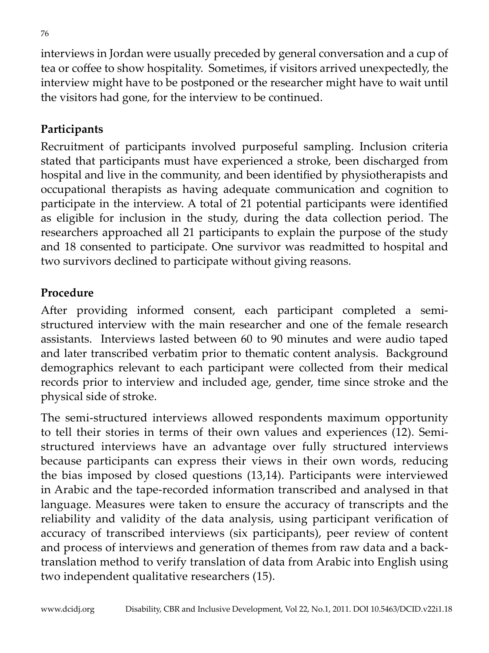interviews in Jordan were usually preceded by general conversation and a cup of tea or coffee to show hospitality. Sometimes, if visitors arrived unexpectedly, the interview might have to be postponed or the researcher might have to wait until the visitors had gone, for the interview to be continued.

## **Participants**

Recruitment of participants involved purposeful sampling. Inclusion criteria stated that participants must have experienced a stroke, been discharged from hospital and live in the community, and been identified by physiotherapists and occupational therapists as having adequate communication and cognition to participate in the interview. A total of 21 potential participants were identified as eligible for inclusion in the study, during the data collection period. The researchers approached all 21 participants to explain the purpose of the study and 18 consented to participate. One survivor was readmitted to hospital and two survivors declined to participate without giving reasons.

#### **Procedure**

After providing informed consent, each participant completed a semistructured interview with the main researcher and one of the female research assistants. Interviews lasted between 60 to 90 minutes and were audio taped and later transcribed verbatim prior to thematic content analysis. Background demographics relevant to each participant were collected from their medical records prior to interview and included age, gender, time since stroke and the physical side of stroke.

The semi-structured interviews allowed respondents maximum opportunity to tell their stories in terms of their own values and experiences (12). Semistructured interviews have an advantage over fully structured interviews because participants can express their views in their own words, reducing the bias imposed by closed questions (13,14). Participants were interviewed in Arabic and the tape-recorded information transcribed and analysed in that language. Measures were taken to ensure the accuracy of transcripts and the reliability and validity of the data analysis, using participant verification of accuracy of transcribed interviews (six participants), peer review of content and process of interviews and generation of themes from raw data and a backtranslation method to verify translation of data from Arabic into English using two independent qualitative researchers (15).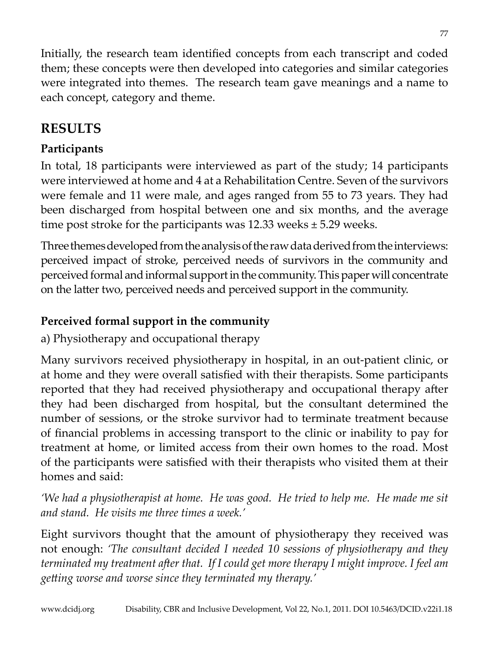Initially, the research team identified concepts from each transcript and coded them; these concepts were then developed into categories and similar categories were integrated into themes. The research team gave meanings and a name to each concept, category and theme.

77

# **RESULTS**

## **Participants**

In total, 18 participants were interviewed as part of the study; 14 participants were interviewed at home and 4 at a Rehabilitation Centre. Seven of the survivors were female and 11 were male, and ages ranged from 55 to 73 years. They had been discharged from hospital between one and six months, and the average time post stroke for the participants was  $12.33$  weeks  $\pm$  5.29 weeks.

Three themes developed from the analysis of the raw data derived from the interviews: perceived impact of stroke, perceived needs of survivors in the community and perceived formal and informal support in the community. This paper will concentrate on the latter two, perceived needs and perceived support in the community.

## **Perceived formal support in the community**

a) Physiotherapy and occupational therapy

Many survivors received physiotherapy in hospital, in an out-patient clinic, or at home and they were overall satisfied with their therapists. Some participants reported that they had received physiotherapy and occupational therapy after they had been discharged from hospital, but the consultant determined the number of sessions, or the stroke survivor had to terminate treatment because of financial problems in accessing transport to the clinic or inability to pay for treatment at home, or limited access from their own homes to the road. Most of the participants were satisfied with their therapists who visited them at their homes and said:

*'We had a physiotherapist at home. He was good. He tried to help me. He made me sit and stand. He visits me three times a week.'* 

Eight survivors thought that the amount of physiotherapy they received was not enough: *'The consultant decided I needed 10 sessions of physiotherapy and they terminated my treatment after that. If I could get more therapy I might improve. I feel am getting worse and worse since they terminated my therapy.'*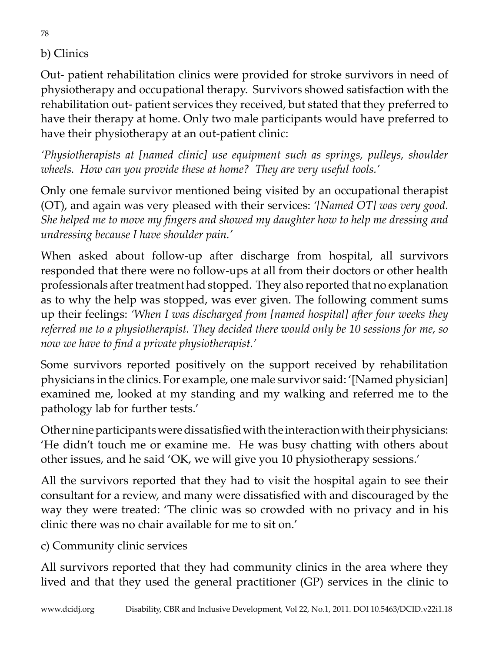### b) Clinics

Out- patient rehabilitation clinics were provided for stroke survivors in need of physiotherapy and occupational therapy. Survivors showed satisfaction with the rehabilitation out- patient services they received, but stated that they preferred to have their therapy at home. Only two male participants would have preferred to have their physiotherapy at an out-patient clinic:

*'Physiotherapists at [named clinic] use equipment such as springs, pulleys, shoulder wheels. How can you provide these at home? They are very useful tools.'*

Only one female survivor mentioned being visited by an occupational therapist (OT), and again was very pleased with their services: *'[Named OT] was very good. She helped me to move my fingers and showed my daughter how to help me dressing and undressing because I have shoulder pain.'*

When asked about follow-up after discharge from hospital, all survivors responded that there were no follow-ups at all from their doctors or other health professionals after treatment had stopped. They also reported that no explanation as to why the help was stopped, was ever given. The following comment sums up their feelings: *'When I was discharged from [named hospital] after four weeks they referred me to a physiotherapist. They decided there would only be 10 sessions for me, so now we have to find a private physiotherapist.'*

Some survivors reported positively on the support received by rehabilitation physicians in the clinics. For example, one male survivor said: '[Named physician] examined me, looked at my standing and my walking and referred me to the pathology lab for further tests.'

Other nine participants were dissatisfied with the interaction with their physicians: 'He didn't touch me or examine me. He was busy chatting with others about other issues, and he said 'OK, we will give you 10 physiotherapy sessions.'

All the survivors reported that they had to visit the hospital again to see their consultant for a review, and many were dissatisfied with and discouraged by the way they were treated: 'The clinic was so crowded with no privacy and in his clinic there was no chair available for me to sit on.'

c) Community clinic services

All survivors reported that they had community clinics in the area where they lived and that they used the general practitioner (GP) services in the clinic to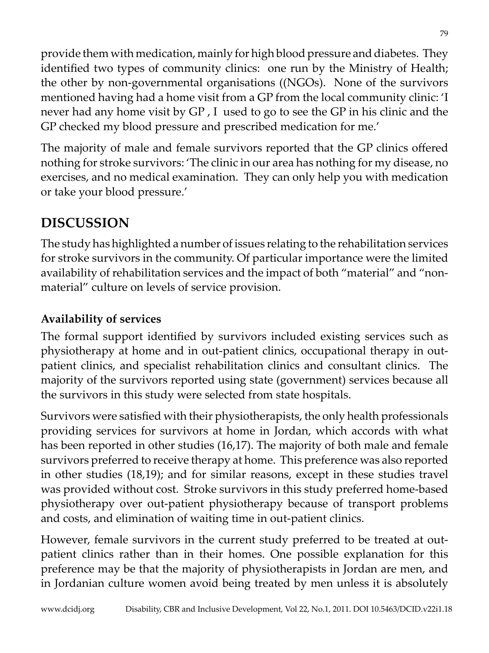provide them with medication, mainly for high blood pressure and diabetes. They identified two types of community clinics: one run by the Ministry of Health; the other by non-governmental organisations ((NGOs). None of the survivors mentioned having had a home visit from a GP from the local community clinic: 'I never had any home visit by GP , I used to go to see the GP in his clinic and the GP checked my blood pressure and prescribed medication for me.'

The majority of male and female survivors reported that the GP clinics offered nothing for stroke survivors: 'The clinic in our area has nothing for my disease, no exercises, and no medical examination. They can only help you with medication or take your blood pressure.'

# **DISCUSSION**

The study has highlighted a number of issues relating to the rehabilitation services for stroke survivors in the community. Of particular importance were the limited availability of rehabilitation services and the impact of both "material" and "nonmaterial" culture on levels of service provision.

### **Availability of services**

The formal support identified by survivors included existing services such as physiotherapy at home and in out-patient clinics, occupational therapy in outpatient clinics, and specialist rehabilitation clinics and consultant clinics. The majority of the survivors reported using state (government) services because all the survivors in this study were selected from state hospitals.

Survivors were satisfied with their physiotherapists, the only health professionals providing services for survivors at home in Jordan, which accords with what has been reported in other studies (16,17). The majority of both male and female survivors preferred to receive therapy at home. This preference was also reported in other studies (18,19); and for similar reasons, except in these studies travel was provided without cost. Stroke survivors in this study preferred home-based physiotherapy over out-patient physiotherapy because of transport problems and costs, and elimination of waiting time in out-patient clinics.

However, female survivors in the current study preferred to be treated at outpatient clinics rather than in their homes. One possible explanation for this preference may be that the majority of physiotherapists in Jordan are men, and in Jordanian culture women avoid being treated by men unless it is absolutely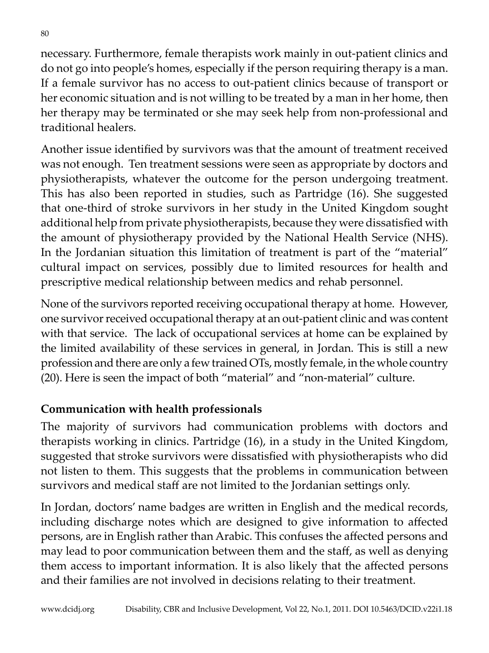necessary. Furthermore, female therapists work mainly in out-patient clinics and do not go into people's homes, especially if the person requiring therapy is a man. If a female survivor has no access to out-patient clinics because of transport or her economic situation and is not willing to be treated by a man in her home, then her therapy may be terminated or she may seek help from non-professional and traditional healers.

Another issue identified by survivors was that the amount of treatment received was not enough. Ten treatment sessions were seen as appropriate by doctors and physiotherapists, whatever the outcome for the person undergoing treatment. This has also been reported in studies, such as Partridge (16). She suggested that one-third of stroke survivors in her study in the United Kingdom sought additional help from private physiotherapists, because they were dissatisfied with the amount of physiotherapy provided by the National Health Service (NHS). In the Jordanian situation this limitation of treatment is part of the "material" cultural impact on services, possibly due to limited resources for health and prescriptive medical relationship between medics and rehab personnel.

None of the survivors reported receiving occupational therapy at home. However, one survivor received occupational therapy at an out-patient clinic and was content with that service. The lack of occupational services at home can be explained by the limited availability of these services in general, in Jordan. This is still a new profession and there are only a few trained OTs, mostly female, in the whole country (20). Here is seen the impact of both "material" and "non-material" culture.

### **Communication with health professionals**

The majority of survivors had communication problems with doctors and therapists working in clinics. Partridge (16), in a study in the United Kingdom, suggested that stroke survivors were dissatisfied with physiotherapists who did not listen to them. This suggests that the problems in communication between survivors and medical staff are not limited to the Jordanian settings only.

In Jordan, doctors' name badges are written in English and the medical records, including discharge notes which are designed to give information to affected persons, are in English rather than Arabic. This confuses the affected persons and may lead to poor communication between them and the staff, as well as denying them access to important information. It is also likely that the affected persons and their families are not involved in decisions relating to their treatment.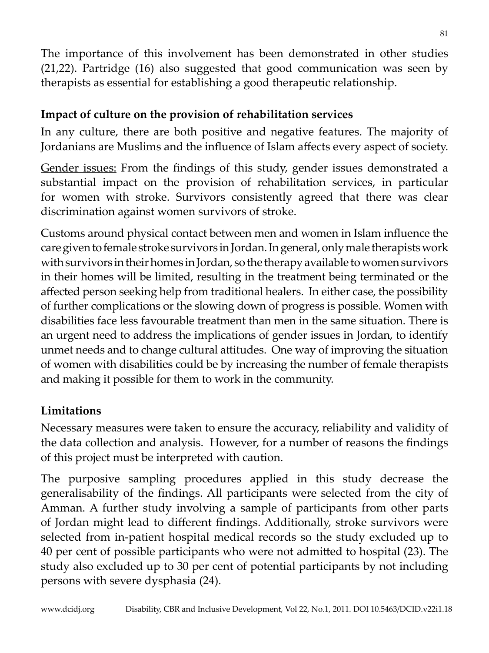The importance of this involvement has been demonstrated in other studies (21,22). Partridge (16) also suggested that good communication was seen by therapists as essential for establishing a good therapeutic relationship.

### **Impact of culture on the provision of rehabilitation services**

In any culture, there are both positive and negative features. The majority of Jordanians are Muslims and the influence of Islam affects every aspect of society.

Gender issues: From the findings of this study, gender issues demonstrated a substantial impact on the provision of rehabilitation services, in particular for women with stroke. Survivors consistently agreed that there was clear discrimination against women survivors of stroke.

Customs around physical contact between men and women in Islam influence the care given to female stroke survivors in Jordan. In general, only male therapists work with survivors in their homes in Jordan, so the therapy available to women survivors in their homes will be limited, resulting in the treatment being terminated or the affected person seeking help from traditional healers. In either case, the possibility of further complications or the slowing down of progress is possible. Women with disabilities face less favourable treatment than men in the same situation. There is an urgent need to address the implications of gender issues in Jordan, to identify unmet needs and to change cultural attitudes. One way of improving the situation of women with disabilities could be by increasing the number of female therapists and making it possible for them to work in the community.

### **Limitations**

Necessary measures were taken to ensure the accuracy, reliability and validity of the data collection and analysis. However, for a number of reasons the findings of this project must be interpreted with caution.

The purposive sampling procedures applied in this study decrease the generalisability of the findings. All participants were selected from the city of Amman. A further study involving a sample of participants from other parts of Jordan might lead to different findings. Additionally, stroke survivors were selected from in-patient hospital medical records so the study excluded up to 40 per cent of possible participants who were not admitted to hospital (23). The study also excluded up to 30 per cent of potential participants by not including persons with severe dysphasia (24).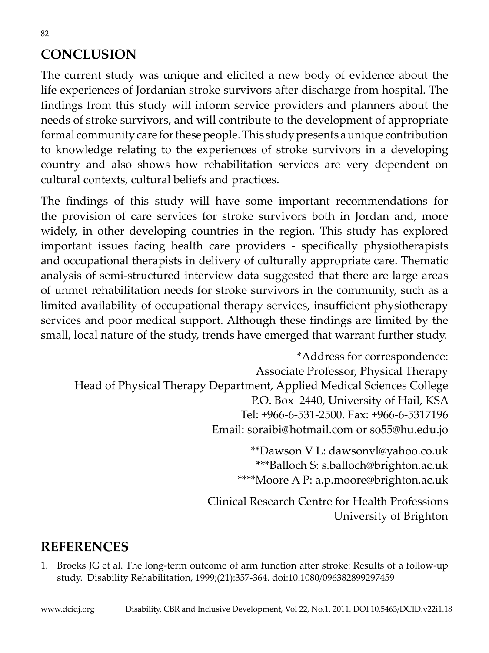# **CONCLUSION**

The current study was unique and elicited a new body of evidence about the life experiences of Jordanian stroke survivors after discharge from hospital. The findings from this study will inform service providers and planners about the needs of stroke survivors, and will contribute to the development of appropriate formal community care for these people. This study presents a unique contribution to knowledge relating to the experiences of stroke survivors in a developing country and also shows how rehabilitation services are very dependent on cultural contexts, cultural beliefs and practices.

The findings of this study will have some important recommendations for the provision of care services for stroke survivors both in Jordan and, more widely, in other developing countries in the region. This study has explored important issues facing health care providers - specifically physiotherapists and occupational therapists in delivery of culturally appropriate care. Thematic analysis of semi-structured interview data suggested that there are large areas of unmet rehabilitation needs for stroke survivors in the community, such as a limited availability of occupational therapy services, insufficient physiotherapy services and poor medical support. Although these findings are limited by the small, local nature of the study, trends have emerged that warrant further study.

\*Address for correspondence: Associate Professor, Physical Therapy Head of Physical Therapy Department, Applied Medical Sciences College P.O. Box 2440, University of Hail, KSA Tel: +966-6-531-2500. Fax: +966-6-5317196 Email: soraibi@hotmail.com or so55@hu.edu.jo

> \*\*Dawson V L: dawsonvl@yahoo.co.uk \*\*\*Balloch S: s.balloch@brighton.ac.uk \*\*\*\*Moore A P: a.p.moore@brighton.ac.uk

Clinical Research Centre for Health Professions University of Brighton

## **REFERENCES**

1. Broeks JG et al. The long-term outcome of arm function after stroke: Results of a follow-up study. Disability Rehabilitation, 1999;(21):357-364. doi:10.1080/096382899297459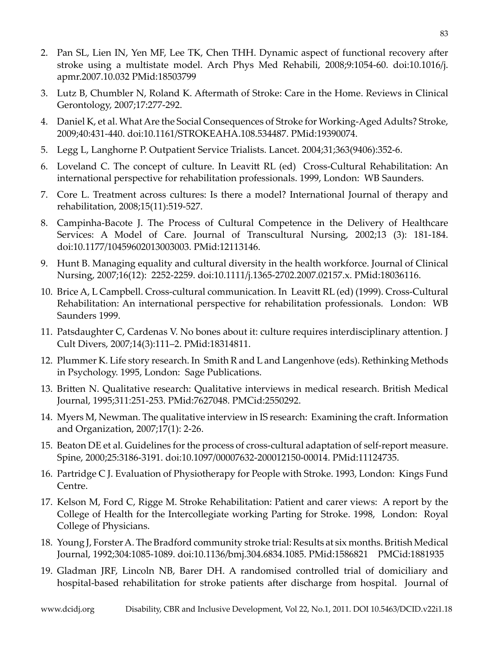- 2. Pan SL, Lien IN, Yen MF, Lee TK, Chen THH. Dynamic aspect of functional recovery after stroke using a multistate model. Arch Phys Med Rehabili, 2008;9:1054-60. doi:10.1016/j. apmr.2007.10.032 PMid:18503799
- 3. Lutz B, Chumbler N, Roland K. Aftermath of Stroke: Care in the Home. Reviews in Clinical Gerontology, 2007;17:277-292.
- 4. Daniel K, et al. What Are the Social Consequences of Stroke for Working-Aged Adults? Stroke, 2009;40:431-440. doi:10.1161/STROKEAHA.108.534487. PMid:19390074.
- 5. Legg L, Langhorne P. Outpatient Service Trialists. Lancet. 2004;31;363(9406):352-6.
- 6. Loveland C. The concept of culture. In Leavitt RL (ed) Cross-Cultural Rehabilitation: An international perspective for rehabilitation professionals. 1999, London: WB Saunders.
- 7. Core L. Treatment across cultures: Is there a model? International Journal of therapy and rehabilitation, 2008;15(11):519-527.
- 8. Campinha-Bacote J. The Process of Cultural Competence in the Delivery of Healthcare Services: A Model of Care. Journal of Transcultural Nursing, 2002;13 (3): 181-184. doi:10.1177/10459602013003003. PMid:12113146.
- 9. Hunt B. Managing equality and cultural diversity in the health workforce. Journal of Clinical Nursing, 2007;16(12): 2252-2259. doi:10.1111/j.1365-2702.2007.02157.x. PMid:18036116.
- 10. Brice A, L Campbell. Cross-cultural communication. In Leavitt RL (ed) (1999). Cross-Cultural Rehabilitation: An international perspective for rehabilitation professionals. London: WB Saunders 1999.
- 11. Patsdaughter C, Cardenas V. No bones about it: culture requires interdisciplinary attention. J Cult Divers, 2007;14(3):111–2. PMid:18314811.
- 12. Plummer K. Life story research. In Smith R and L and Langenhove (eds). Rethinking Methods in Psychology. 1995, London: Sage Publications.
- 13. Britten N. Qualitative research: Qualitative interviews in medical research. British Medical Journal, 1995;311:251-253. PMid:7627048. PMCid:2550292.
- 14. Myers M, Newman. The qualitative interview in IS research: Examining the craft. Information and Organization, 2007;17(1): 2-26.
- 15. Beaton DE et al. Guidelines for the process of cross-cultural adaptation of self-report measure. Spine, 2000;25:3186-3191. doi:10.1097/00007632-200012150-00014. PMid:11124735.
- 16. Partridge C J. Evaluation of Physiotherapy for People with Stroke. 1993, London: Kings Fund Centre.
- 17. Kelson M, Ford C, Rigge M. Stroke Rehabilitation: Patient and carer views: A report by the College of Health for the Intercollegiate working Parting for Stroke. 1998, London: Royal College of Physicians.
- 18. Young J, Forster A. The Bradford community stroke trial: Results at six months. British Medical Journal, 1992;304:1085-1089. doi:10.1136/bmj.304.6834.1085. PMid:1586821 PMCid:1881935
- 19. Gladman JRF, Lincoln NB, Barer DH. A randomised controlled trial of domiciliary and hospital-based rehabilitation for stroke patients after discharge from hospital. Journal of